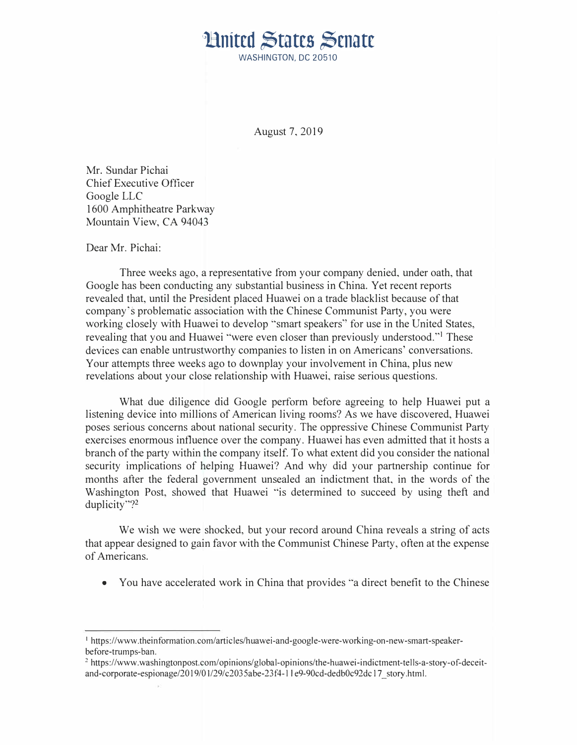## **Limited States Senate**

WASHINGTON, DC 20510

August 7, 2019

Mr. Sundar Pichai Chief Executive Officer Google LLC 1600 Amphitheatre Parkway Mountain View, CA 94043

Dear Mr. Pichai:

Three weeks ago, a representative from your company denied, under oath, that Google has been conducting any substantial business in China. Yet recent reports revealed that, until the President placed Huawei on a trade blacklist because of that company's problematic association with the Chinese Communist Party, you were working closely with Huawei to develop "smart speakers" for use in the United States, revealing that you and Huawei "were even closer than previously understood."<sup>1</sup> These devices can enable untrustworthy companies to listen in on Americans' conversations. Your attempts three weeks ago to downplay your involvement in China, plus new revelations about your close relationship with Huawei, raise serious questions.

What due diligence did Google perform before agreeing to help Huawei put a listening device into millions of American living rooms? As we have discovered, Huawei poses serious concerns about national security. The oppressive Chinese Communist Party exercises enormous influence over the company. Huawei has even admitted that it hosts a branch of the party within the company itself. To what extent did you consider the national security implications of helping Huawei? And why did your partnership continue for months after the federal government unsealed an indictment that, in the words of the Washington Post, showed that Huawei "is determined to succeed by using theft and duplicity"?<sup>2</sup>

We wish we were shocked, but your record around China reveals a string of acts that appear designed to gain favor with the Communist Chinese Party, often at the expense of Americans.

• You have accelerated work in China that provides "a direct benefit to the Chinese

<sup>1</sup> https://www.theinformation.com/articles/huawei-and-google-were-working-on-new-smart-speakerbefore-trumps-ban.

<sup>&</sup>lt;sup>2</sup> https://www.washingtonpost.com/opinions/global-opinions/the-huawei-indictment-tells-a-story-of-deceitand-corporate-espionage/2019/01/29/c2035abe-23f4-11e9-90cd-dedb0c92dc17\_story.html.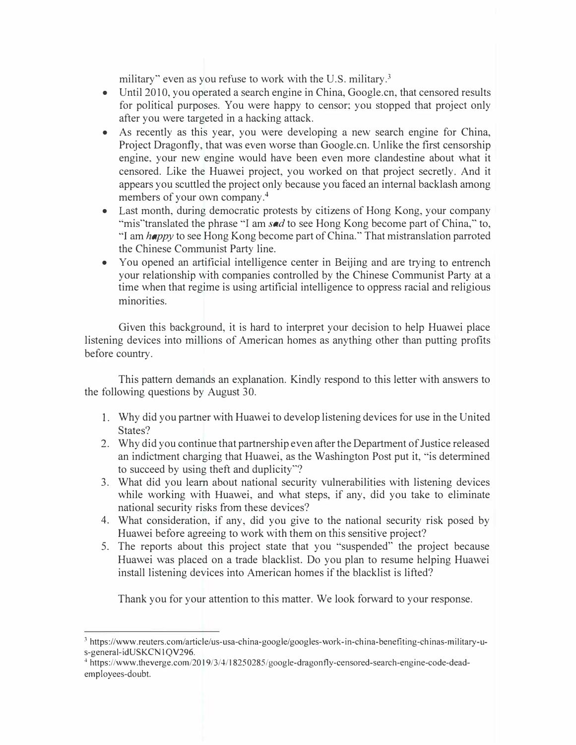military" even as you refuse to work with the U.S. military.<sup>3</sup>

- Until 2010, you operated a search engine in China, Google.cn, that censored results for political purposes. You were happy to censor; you stopped that project only after you were targeted in a hacking attack.
- As recently as this year, you were developing a new search engine for China, Project Dragonfly, that was even worse than Google.en. Unlike the first censorship engine, your new engine would have been even more clandestine about what it censored. Like the Huawei project, you worked on that project secretly. And it appears you scuttled the project only because you faced an internal backlash among members of your own company.<sup>4</sup>
- Last month, during democratic protests by citizens of Hong Kong, your company "mis"translated the phrase "I am *sad* to see Hong Kong become part of China," to, "I am *happy* to see Hong Kong become part of China." That mistranslation parroted the Chinese Communist Party line.
- You opened an artificial intelligence center in Beijing and are trying to entrench your relationship with companies controlled by the Chinese Communist Party at a time when that regime is using artificial intelligence to oppress racial and religious minorities.

Given this background, it is hard to interpret your decision to help Huawei place listening devices into millions of American homes as anything other than putting profits before country.

This pattern demands an explanation. Kindly respond to this letter with answers to the following questions by August 30.

- 1. Why did you partner with Huawei to develop listening devices for use in the United States?
- 2. Why did you continue that partnership even after the Department of Justice released an indictment charging that Huawei, as the Washington Post put it, "is determined to succeed by using theft and duplicity"?
- 3. What did you learn about national security vulnerabilities with listening devices while working with Huawei, and what steps, if any, did you take to eliminate national security risks from these devices?
- 4. What consideration, if any, did you give to the national security risk posed by Huawei before agreeing to work with them on this sensitive project?
- 5. The reports about this project state that you "suspended" the project because Huawei was placed on a trade blacklist. Do you plan to resume helping Huawei install listening devices into American homes if the blacklist is lifted?

Thank you for your attention to this matter. We look forward to your response.

<sup>3</sup>https://www.reuters.com/article/us-usa-china-google/googles-work-in-china-benefiting-chinas-military-us-general-idUSKCN1OV296.

<sup>4</sup> https://www.theverge.com/2019/3/4/18250285/google-dragonfly-censored-search-engine-code-deademployees-doubt.